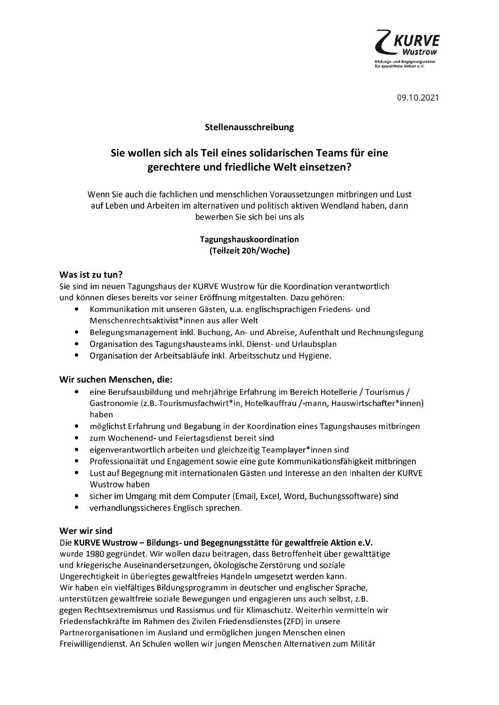

09.10.2021

# Stellenausschreibung

# Sie wollen sich als Teil eines solidarischen Teams für eine gerechtere und friedliche Welt einsetzen?

Wenn Sie auch die fachlichen und menschlichen Voraussetzungen mitbringen und Lust auf Leben und Arbeiten im alternativen und politisch aktiven Wendland haben, dann bewerben Sie sich bei uns als

#### Tagungshauskoordination (Teilzeit 20h/Woche)

# Was ist zu tun?

Sie sind im neuen Tagungshaus der KURVE Wustrow für die Koordination verantwortlich und können dieses bereits vor seiner Eröffnung mitgestalten. Dazu gehören:

- Kommunikation mit unseren Gästen, u.a. englischsprachigen Friedens- und Menschenrechtsaktivist\*innen aus aller Welt
- Belegungsmanagement inkl. Buchung, An- und Abreise, Aufenthalt und Rechnungslegung
- Organisation des Tagungshausteams inkl. Dienst- und Urlaubsplan
- Organisation der Arbeitsabläufe inkl. Arbeitsschutz und Hygiene.

## Wir suchen Menschen, die:

- $\bullet$ eine Berufsausbildung und mehrjährige Erfahrung im Bereich Hotellerie / Tourismus / Gastronomie (z.B. Tourismusfachwirt\*in, Hotelkauffrau /-mann, Hauswirtschafter\*innen) haben
- möglichst Erfahrung und Begabung in der Koordination eines Tagungshauses mitbringen
- zum Wochenend- und Feiertagsdienst bereit sind
- eigenverantwortlich arbeiten und gleichzeitig Teamplayer\*innen sind
- Professionalität und Engagement sowie eine gute Kommunikationsfähigkeit mitbringen
- Lust auf Begegnung mit internationalen Gästen und Interesse an den Inhalten der KURVE Wustrow haben
- sicher im Umgang mit dem Computer (Email, Excel, Word, Buchungssoftware) sind
- verhandlungssicheres Englisch sprechen.

## Wer wir sind

Die KURVE Wustrow - Bildungs- und Begegnungsstätte für gewaltfreie Aktion e.V. wurde 1980 gegründet. Wir wollen dazu beitragen, dass Betroffenheit über gewalttätige

und kriegerische Auseinandersetzungen, ökologische Zerstörung und soziale Ungerechtigkeit in überlegtes gewaltfreies Handeln umgesetzt werden kann. Wir haben ein vielfältiges Bildungsprogramm in deutscher und englischer Sprache, unterstützen gewaltfreie soziale Bewegungen und engagieren uns auch selbst, z.B. gegen Rechtsextremismus und Rassismus und für Klimaschutz. Weiterhin vermitteln wir Friedensfachkräfte im Rahmen des Zivilen Friedensdienstes (ZFD) in unsere Partnerorganisationen im Ausland und ermöglichen jungen Menschen einen Freiwilligendienst. An Schulen wollen wir jungen Menschen Alternativen zum Militär